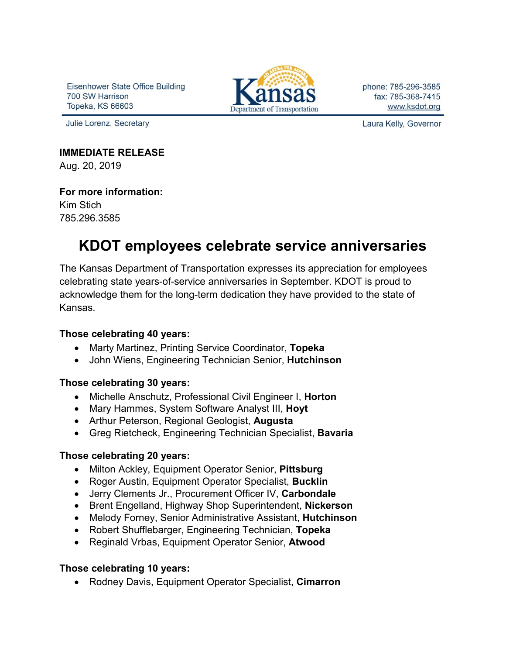Eisenhower State Office Building 700 SW Harrison Topeka, KS 66603

Julie Lorenz, Secretary



phone: 785-296-3585 fax: 785-368-7415 www.ksdot.org

Laura Kelly, Governor

### **IMMEDIATE RELEASE**

Aug. 20, 2019

#### **For more information:**

Kim Stich 785.296.3585

# **KDOT employees celebrate service anniversaries**

The Kansas Department of Transportation expresses its appreciation for employees celebrating state years-of-service anniversaries in September. KDOT is proud to acknowledge them for the long-term dedication they have provided to the state of Kansas.

#### **Those celebrating 40 years:**

- Marty Martinez, Printing Service Coordinator, **Topeka**
- John Wiens, Engineering Technician Senior, **Hutchinson**

#### **Those celebrating 30 years:**

- Michelle Anschutz, Professional Civil Engineer I, **Horton**
- Mary Hammes, System Software Analyst III, **Hoyt**
- Arthur Peterson, Regional Geologist, **Augusta**
- Greg Rietcheck, Engineering Technician Specialist, **Bavaria**

#### **Those celebrating 20 years:**

- Milton Ackley, Equipment Operator Senior, **Pittsburg**
- Roger Austin, Equipment Operator Specialist, **Bucklin**
- Jerry Clements Jr., Procurement Officer IV, **Carbondale**
- Brent Engelland, Highway Shop Superintendent, **Nickerson**
- Melody Forney, Senior Administrative Assistant, **Hutchinson**
- Robert Shufflebarger, Engineering Technician, **Topeka**
- Reginald Vrbas, Equipment Operator Senior, **Atwood**

## **Those celebrating 10 years:**

• Rodney Davis, Equipment Operator Specialist, **Cimarron**